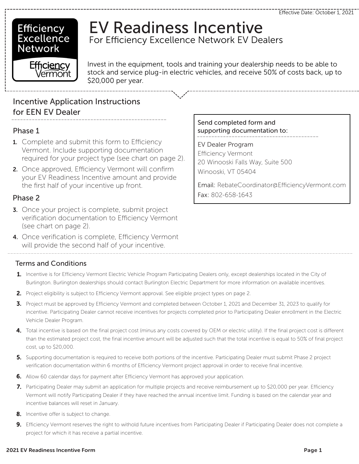### **Efficiency** Excellence **Network**

# EV Readiness Incentive For Efficiency Excellence Network EV Dealers

Efficiency *l*érmont

Invest in the equipment, tools and training your dealership needs to be able to stock and service plug-in electric vehicles, and receive 50% of costs back, up to \$20,000 per year.

### Incentive Application Instructions for EEN EV Dealer

#### Phase 1

- 1. Complete and submit this form to Efficiency Vermont. Include supporting documentation required for your project type (see chart on page 2).
- 2. Once approved, Efficiency Vermont will confirm your EV Readiness Incentive amount and provide the first half of your incentive up front.

#### Phase 2

- **3.** Once your project is complete, submit project verification documentation to Efficiency Vermont (see chart on page 2).
- 4. Once verification is complete, Efficiency Vermont will provide the second half of your incentive.

#### Terms and Conditions

- 1. Incentive is for Efficiency Vermont Electric Vehicle Program Participating Dealers only, except dealerships located in the City of Burlington. Burlington dealerships should contact Burlington Electric Department for more information on available incentives.
- 2. Project eligibility is subject to Efficiency Vermont approval. See eligible project types on page 2.
- 3. Project must be approved by Efficiency Vermont and completed between October 1, 2021 and December 31, 2023 to qualify for incentive. Participating Dealer cannot receive incentives for projects completed prior to Participating Dealer enrollment in the Electric Vehicle Dealer Program.
- 4. Total incentive is based on the final project cost (minus any costs covered by OEM or electric utility). If the final project cost is different than the estimated project cost, the final incentive amount will be adjusted such that the total incentive is equal to 50% of final project cost, up to \$20,000.
- 5. Supporting documentation is required to receive both portions of the incentive. Participating Dealer must submit Phase 2 project verification documentation within 6 months of Efficiency Vermont project approval in order to receive final incentive.
- 6. Allow 60 calendar days for payment after Efficiency Vermont has approved your application.
- 7. Participating Dealer may submit an application for multiple projects and receive reimbursement up to \$20,000 per year. Efficiency Vermont will notify Participating Dealer if they have reached the annual incentive limit. Funding is based on the calendar year and incentive balances will reset in January.
- 8. Incentive offer is subject to change.
- 9. Efficiency Vermont reserves the right to withold future incentives from Participating Dealer if Participating Dealer does not complete a project for which it has receive a partial incentive.

#### Send completed form and supporting documentation to:

EV Dealer Program Efficiency Vermont 20 Winooski Falls Way, Suite 500 Winooski, VT 05404

Email: RebateCoordinator@EfficiencyVermont.com Fax: 802-658-1643